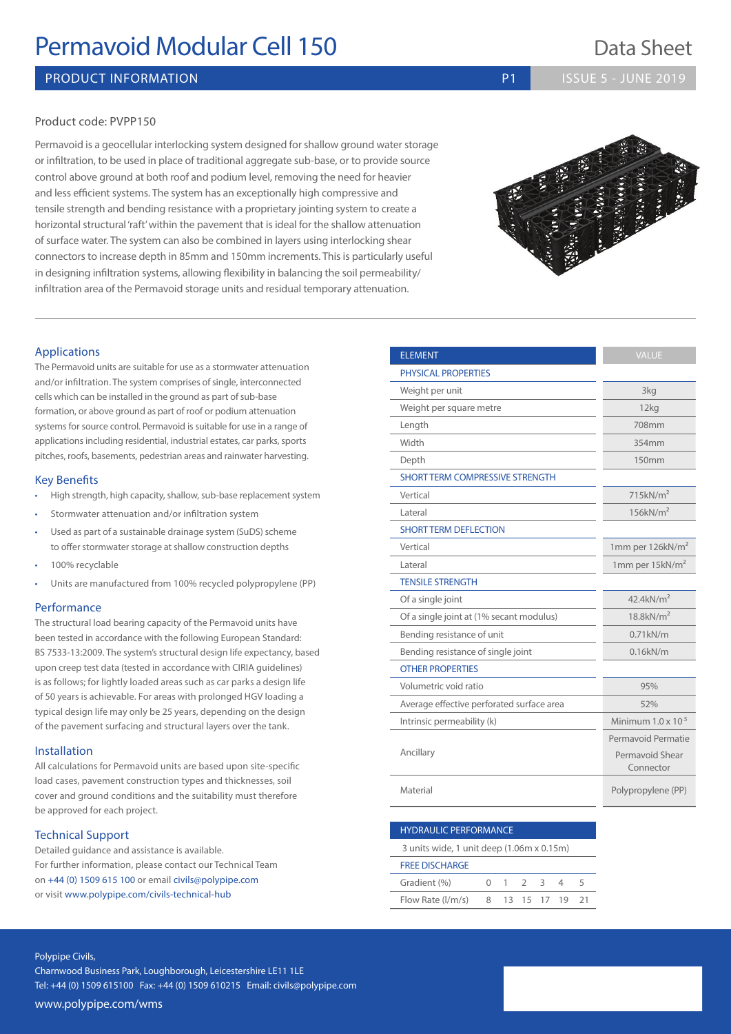# **Permavoid Modular Cell 150** Data Sheet

## PRODUCT INFORMATION **PRODUCT INFORMATION P1 ISSUE 5 - JUNE 2019**

#### Product code: PVPP150

Permavoid is a geocellular interlocking system designed for shallow ground water storage or infiltration, to be used in place of traditional aggregate sub-base, or to provide source control above ground at both roof and podium level, removing the need for heavier and less efficient systems. The system has an exceptionally high compressive and tensile strength and bending resistance with a proprietary jointing system to create a horizontal structural 'raft' within the pavement that is ideal for the shallow attenuation of surface water. The system can also be combined in layers using interlocking shear connectors to increase depth in 85mm and 150mm increments. This is particularly useful in designing infiltration systems, allowing flexibility in balancing the soil permeability/ infiltration area of the Permavoid storage units and residual temporary attenuation.

# ELEMENT

The Permavoid units are suitable for use as a stormwater attenuation and/or infiltration. The system comprises of single, interconnected cells which can be installed in the ground as part of sub-base formation, or above ground as part of roof or podium attenuation systems for source control. Permavoid is suitable for use in a range of applications including residential, industrial estates, car parks, sports pitches, roofs, basements, pedestrian areas and rainwater harvesting.

#### Key Benefits

Applications

- High strength, high capacity, shallow, sub-base replacement system
- Stormwater attenuation and/or infiltration system
- Used as part of a sustainable drainage system (SuDS) scheme to offer stormwater storage at shallow construction depths
- 100% recyclable
- Units are manufactured from 100% recycled polypropylene (PP)

#### Performance

The structural load bearing capacity of the Permavoid units have been tested in accordance with the following European Standard: BS 7533-13:2009. The system's structural design life expectancy, based upon creep test data (tested in accordance with CIRIA guidelines) is as follows; for lightly loaded areas such as car parks a design life of 50 years is achievable. For areas with prolonged HGV loading a typical design life may only be 25 years, depending on the design of the pavement surfacing and structural layers over the tank.

#### Installation

All calculations for Permavoid units are based upon site-specific load cases, pavement construction types and thicknesses, soil cover and ground conditions and the suitability must therefore be approved for each project.

#### Technical Support

Detailed guidance and assistance is available. For further information, please contact our Technical Team on +44 (0) 1509 615 100 or email civils@polypipe.com or visit www.polypipe.com/civils-technical-hub

| <b>PHYSICAL PROPERTIES</b>                |                              |
|-------------------------------------------|------------------------------|
| Weight per unit                           | 3kg                          |
| Weight per square metre                   | 12kg                         |
| Length                                    | 708mm                        |
| Width                                     | 354mm                        |
| Depth                                     | 150mm                        |
| <b>SHORT TERM COMPRESSIVE STRENGTH</b>    |                              |
| Vertical                                  | 715kN/m <sup>2</sup>         |
| Lateral                                   | 156kN/m <sup>2</sup>         |
| <b>SHORT TERM DEFLECTION</b>              |                              |
| Vertical                                  | 1mm per 126 $kN/m2$          |
| Lateral                                   | 1mm per 15kN/m <sup>2</sup>  |
| <b>TENSILE STRENGTH</b>                   |                              |
| Of a single joint                         | $42.4$ kN/m <sup>2</sup>     |
| Of a single joint at (1% secant modulus)  | $18.8$ k $N/m2$              |
| Bending resistance of unit                | $0.71$ k $N/m$               |
| Bending resistance of single joint        | $0.16$ k $N/m$               |
| <b>OTHER PROPERTIES</b>                   |                              |
| Volumetric void ratio                     | 95%                          |
| Average effective perforated surface area | 52%                          |
| Intrinsic permeability (k)                | Minimum $1.0 \times 10^{-5}$ |
|                                           | Permavoid Permatie           |
| Ancillary                                 | Permavoid Shear<br>Connector |
| Material                                  | Polypropylene (PP)           |

#### HYDRAULIC PERFORMANCE

3 units wide, 1 unit deep (1.06m x 0.15m)

#### FREE DISCHARGE

| Gradient (%)                  |  |  |             |  |
|-------------------------------|--|--|-------------|--|
| Flow Rate $\frac{1}{m/s}$ 8 1 |  |  | 13 15 17 19 |  |

#### Polypipe Civils,

Charnwood Business Park, Loughborough, Leicestershire LE11 1LE Tel: +44 (0) 1509 615100 Fax: +44 (0) 1509 610215 Email: civils@polypipe.com www.polypipe.com/wms